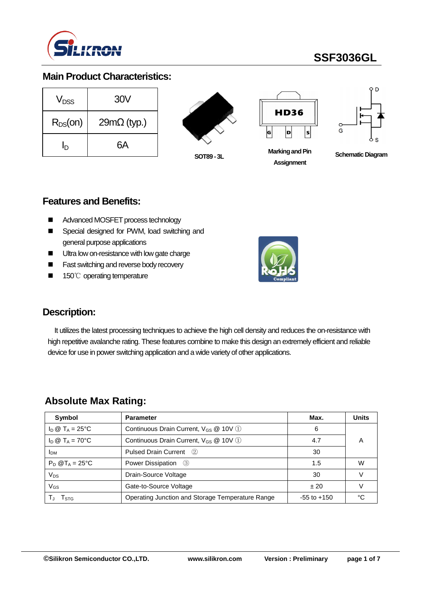

### **Main Product Characteristics:**

| V <sub>DSS</sub> | 30 <sub>V</sub>    |  |  |
|------------------|--------------------|--|--|
| $R_{DS}(on)$     | $29m\Omega$ (typ.) |  |  |
| In               | 6А                 |  |  |



**SOT89 - 3L**



**Marking and Pin Assignment**



**Schematic Diagram**

#### **Features and Benefits:**

- Advanced MOSFET process technology
- Special designed for PWM, load switching and general purpose applications
- **Ultra low on-resistance with low gate charge**
- **Fast switching and reverse body recovery**
- 150℃ operating temperature



### **Description:**

It utilizes the latest processing techniques to achieve the high cell density and reduces the on-resistance with high repetitive avalanche rating. These features combine to make this design an extremely efficient and reliable device for use in power switching application and a wide variety of other applications.

### **Absolute Max Rating:**

| Symbol                             | <b>Parameter</b>                                 | Max.            | <b>Units</b> |  |
|------------------------------------|--------------------------------------------------|-----------------|--------------|--|
| $I_D \otimes T_A = 25$ °C          | Continuous Drain Current, $V_{GS}$ @ 10V $(1)$   | 6               |              |  |
| $\ln \omega$ T <sub>A</sub> = 70°C | Continuous Drain Current, $V_{GS}$ @ 10V $(1)$   | 4.7             | А            |  |
| <b>IDM</b>                         | Pulsed Drain Current (2)                         | 30              |              |  |
| $P_D @T_A = 25^{\circ}C$           | Power Dissipation (3)                            | 1.5             | W            |  |
| $V_{DS}$                           | Drain-Source Voltage                             | 30              |              |  |
| V <sub>GS</sub>                    | Gate-to-Source Voltage                           | ±20             |              |  |
| I STG                              | Operating Junction and Storage Temperature Range | $-55$ to $+150$ | ∘∩           |  |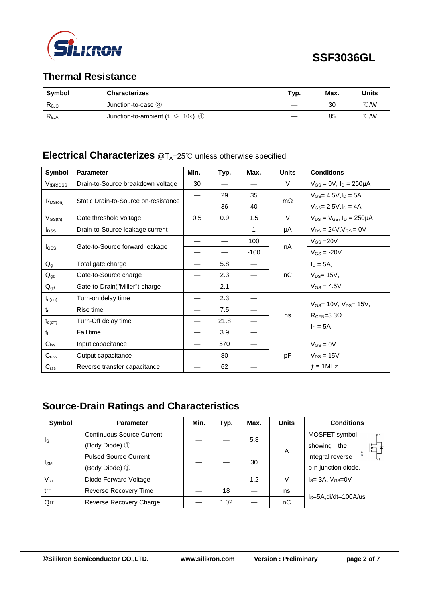

## **Thermal Resistance**

| Symbol                            | <b>Characterizes</b>                    | тур. | Max. | Units          |
|-----------------------------------|-----------------------------------------|------|------|----------------|
| $R_{\theta$ JC                    | Junction-to-case 3                      | —    | 30   | $^{\circ}$ C/W |
| $\mathsf{R}_{\theta \mathsf{JA}}$ | Junction-to-ambient ( $t \le 10$ s) (4) |      | 85   | $^{\circ}$ C/W |

## **Electrical Characterizes** @T<sub>A</sub>=25℃ unless otherwise specified

| Symbol                  | <b>Parameter</b>                     | Min. | Typ. | Max.   | <b>Units</b> | <b>Conditions</b>                     |  |
|-------------------------|--------------------------------------|------|------|--------|--------------|---------------------------------------|--|
| $V_{(BR)DSS}$           | Drain-to-Source breakdown voltage    | 30   |      |        | V            | $V_{GS} = 0V$ , $I_D = 250 \mu A$     |  |
|                         |                                      |      | 29   | 35     |              | $V_{GS} = 4.5V, I_D = 5A$             |  |
| $R_{DS(on)}$            | Static Drain-to-Source on-resistance |      | 36   | 40     | $m\Omega$    | $V_{GS} = 2.5 V, I_D = 4A$            |  |
| $V_{GS(th)}$            | Gate threshold voltage               | 0.5  | 0.9  | 1.5    | V            | $V_{DS} = V_{GS}$ , $I_D = 250 \mu A$ |  |
| <b>I</b> <sub>pss</sub> | Drain-to-Source leakage current      |      |      | 1      | μA           | $V_{DS} = 24V$ , $V_{GS} = 0V$        |  |
|                         |                                      |      |      | 100    |              | $V_{GS} = 20V$                        |  |
| <b>I</b> GSS            | Gate-to-Source forward leakage       |      |      | $-100$ | nA           | $V_{GS} = -20V$                       |  |
| $Q_{q}$                 | Total gate charge                    |      | 5.8  |        |              | $I_D = 5A$ ,                          |  |
| $Q_{gs}$                | Gate-to-Source charge                |      | 2.3  |        | nC           | $V_{DS}$ = 15V,                       |  |
| $Q_{gd}$                | Gate-to-Drain("Miller") charge       |      | 2.1  |        |              | $V_{GS} = 4.5V$                       |  |
| $t_{d(on)}$             | Turn-on delay time                   |      | 2.3  |        |              |                                       |  |
| $t_{r}$                 | Rise time                            |      | 7.5  |        |              | $V_{GS}$ = 10V, $V_{DS}$ = 15V,       |  |
| $t_{d(\text{off})}$     | Turn-Off delay time                  |      | 21.8 |        | ns           | $RGEN=3.3\Omega$<br>$I_D = 5A$        |  |
| $t_{\rm f}$             | Fall time                            |      | 3.9  |        |              |                                       |  |
| $C_{\text{iss}}$        | Input capacitance                    |      | 570  |        |              | $V_{GS} = 0V$                         |  |
| $C_{\rm oss}$           | Output capacitance                   |      | 80   |        | pF           | $V_{DS} = 15V$                        |  |
| $C_{\text{rss}}$        | Reverse transfer capacitance         |      | 62   |        |              | $f = 1$ MHz                           |  |

# **Source-Drain Ratings and Characteristics**

| Symbol                  | <b>Parameter</b>                 | Min. | Typ. | Max. | <b>Units</b> | <b>Conditions</b>          |
|-------------------------|----------------------------------|------|------|------|--------------|----------------------------|
|                         | <b>Continuous Source Current</b> |      |      | 5.8  |              | MOSFET symbol<br>QD        |
| $\mathsf{I}_\mathsf{S}$ | (Body Diode) 1                   |      |      |      |              | showing the<br>$\vdash$    |
|                         | <b>Pulsed Source Current</b>     |      |      |      | Α            | integral reverse<br>φs.    |
| $I_{SM}$                | (Body Diode) 1                   |      |      | 30   |              | p-n junction diode.        |
| $V_{\textrm{SD}}$       | Diode Forward Voltage            |      |      | 1.2  | ٧            | $I_s = 3A$ , $V_{GS} = 0V$ |
| trr                     | Reverse Recovery Time            |      | 18   |      | ns           | $IS=5A$ , di/dt=100A/us    |
| Qrr                     | Reverse Recovery Charge          |      | 1.02 |      | nC           |                            |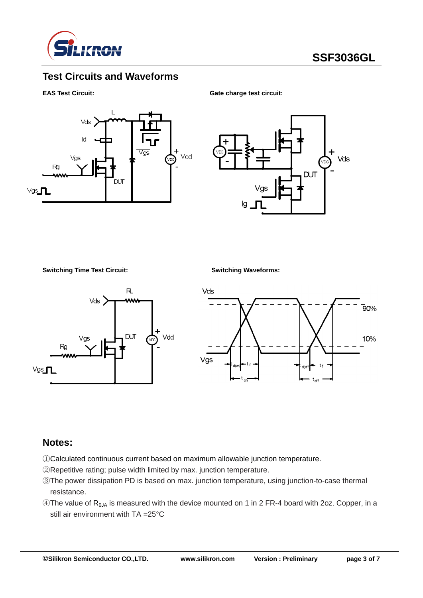

### **Test Circuits and Waveforms**

**EAS Test Circuit:** Gate charge test circuit:





**Switching Time Test Circuit: Switching Waveforms:**





#### **Notes:**

- ①Calculated continuous current based on maximum allowable junction temperature.
- ②Repetitive rating; pulse width limited by max. junction temperature.
- ③The power dissipation PD is based on max. junction temperature, using junction-to-case thermal resistance.
- ④The value of RθJA is measured with the device mounted on 1 in 2 FR-4 board with 2oz. Copper, in a still air environment with TA =25°C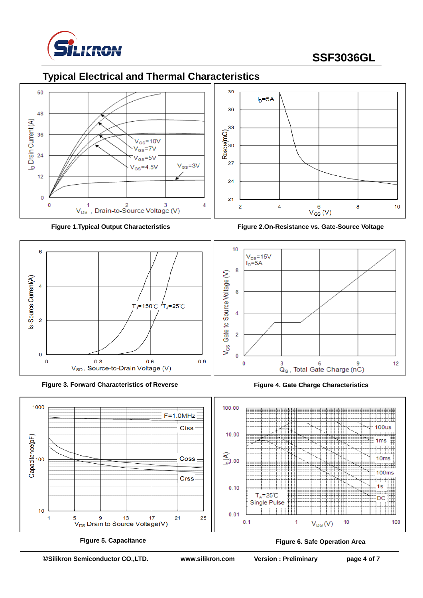

## **Typical Electrical and Thermal Characteristics**





**Figure 3. Forward Characteristics of Reverse Figure 4. Gate Charge Characteristics**



**Figure 1.Typical Output Characteristics Figure 2.On-Resistance vs. Gate-Source Voltage**





**Figure 5. Capacitance Figure 6. Safe Operation Area**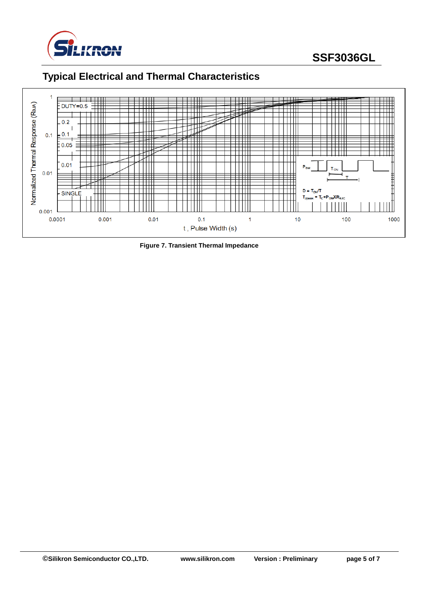



# **Typical Electrical and Thermal Characteristics**

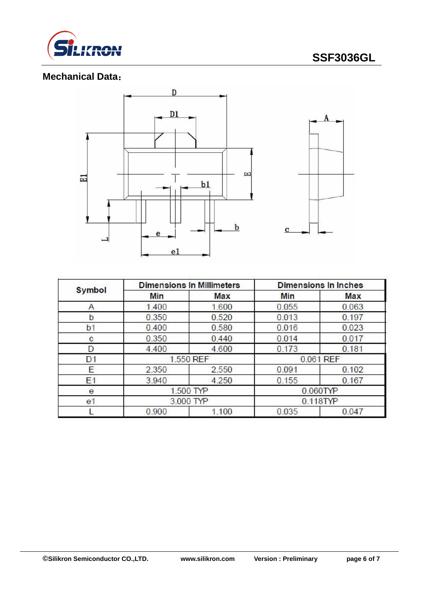

## **Mechanical Data**:



| Symbol         |           | <b>Dimensions In Millimeters</b> | <b>Dimensions In Inches</b> |           |  |
|----------------|-----------|----------------------------------|-----------------------------|-----------|--|
|                | Min       | Max                              | Min                         | Max       |  |
|                | 1.400     | 1.600                            | 0.055                       | 0.063     |  |
| b              | 0.350     | 0.520                            | 0.013                       | 0.197     |  |
| b1             | 0.400     | 0.580                            | 0.016                       | 0.023     |  |
| C              | 0.350     | 0.440                            | 0.014                       | 0.017     |  |
| D              | 4.400     | 4.600<br>0.173                   |                             | 0.181     |  |
| D <sub>1</sub> |           | 1.550 REF                        |                             | 0.061 REF |  |
| Ε              | 2.350     | 2.550                            | 0.091                       | 0.102     |  |
| E1             | 3.940     | 4.250                            | 0.155                       | 0.167     |  |
| е              | 1.500 TYP |                                  |                             | 0.060TYP  |  |
| e1             | 3.000 TYP |                                  |                             | 0.118TYP  |  |
|                | 0.900     | 1.100                            | 0.035                       | 0.047     |  |